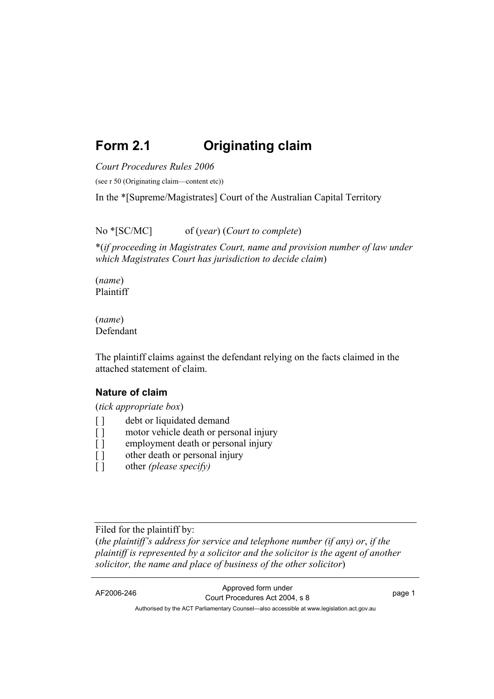# **Form 2.1 Originating claim**

*Court Procedures Rules 2006*

(see r 50 (Originating claim—content etc))

In the \*[Supreme/Magistrates] Court of the Australian Capital Territory

No \*[SC/MC] of (*year*) (*Court to complete*)

\*(*if proceeding in Magistrates Court, name and provision number of law under which Magistrates Court has jurisdiction to decide claim*)

(*name*) Plaintiff

(*name*) Defendant

The plaintiff claims against the defendant relying on the facts claimed in the attached statement of claim.

#### **Nature of claim**

(*tick appropriate box*)

- [ ] debt or liquidated demand
- [ ] motor vehicle death or personal injury
- [ ] employment death or personal injury
- [ ] other death or personal injury
- [ ] other *(please specify)*

Filed for the plaintiff by:

(*the plaintiff's address for service and telephone number (if any) or*, *if the plaintiff is represented by a solicitor and the solicitor is the agent of another solicitor, the name and place of business of the other solicitor*)

AF2006-246 Approved form under Court Procedures Act 2004, s 8 page 1 Authorised by the ACT Parliamentary Counsel—also accessible at www.legislation.act.gov.au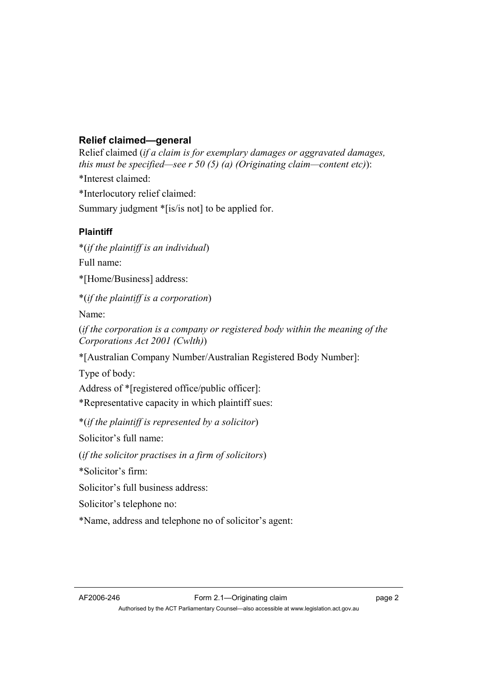## **Relief claimed—general**

Relief claimed (*if a claim is for exemplary damages or aggravated damages, this must be specified—see r 50 (5) (a) (Originating claim—content etc)*): \*Interest claimed: \*Interlocutory relief claimed: Summary judgment \*[is/is not] to be applied for. **Plaintiff**  \*(*if the plaintiff is an individual*) Full name: \*[Home/Business] address: \*(*if the plaintiff is a corporation*) Name: (*if the corporation is a company or registered body within the meaning of the Corporations Act 2001 (Cwlth)*) \*[Australian Company Number/Australian Registered Body Number]: Type of body: Address of \*[registered office/public officer]: \*Representative capacity in which plaintiff sues: \*(*if the plaintiff is represented by a solicitor*) Solicitor's full name:

(*if the solicitor practises in a firm of solicitors*)

\*Solicitor's firm:

Solicitor's full business address:

Solicitor's telephone no:

\*Name, address and telephone no of solicitor's agent: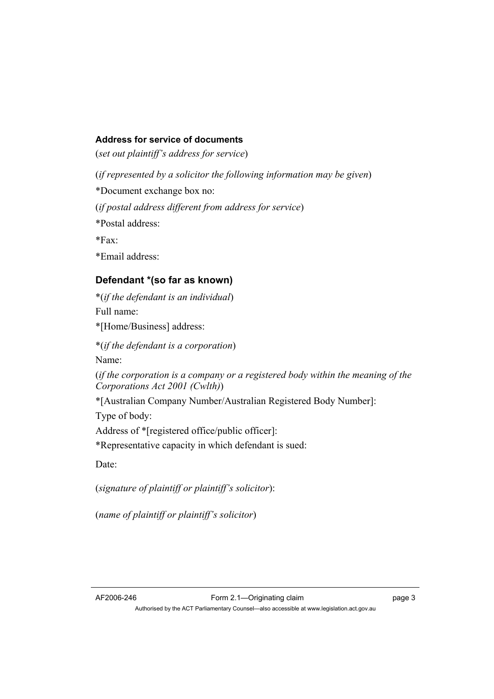### **Address for service of documents**

(*set out plaintiff's address for service*)

(*if represented by a solicitor the following information may be given*)

\*Document exchange box no:

(*if postal address different from address for service*)

\*Postal address:

 $*Fax$ 

\*Email address:

## **Defendant \*(so far as known)**

\*(*if the defendant is an individual*) Full name: \*[Home/Business] address:

\*(*if the defendant is a corporation*)

Name:

(*if the corporation is a company or a registered body within the meaning of the Corporations Act 2001 (Cwlth)*)

\*[Australian Company Number/Australian Registered Body Number]:

Type of body:

Address of \*[registered office/public officer]:

\*Representative capacity in which defendant is sued:

Date:

(*signature of plaintiff or plaintiff's solicitor*):

(*name of plaintiff or plaintiff's solicitor*)